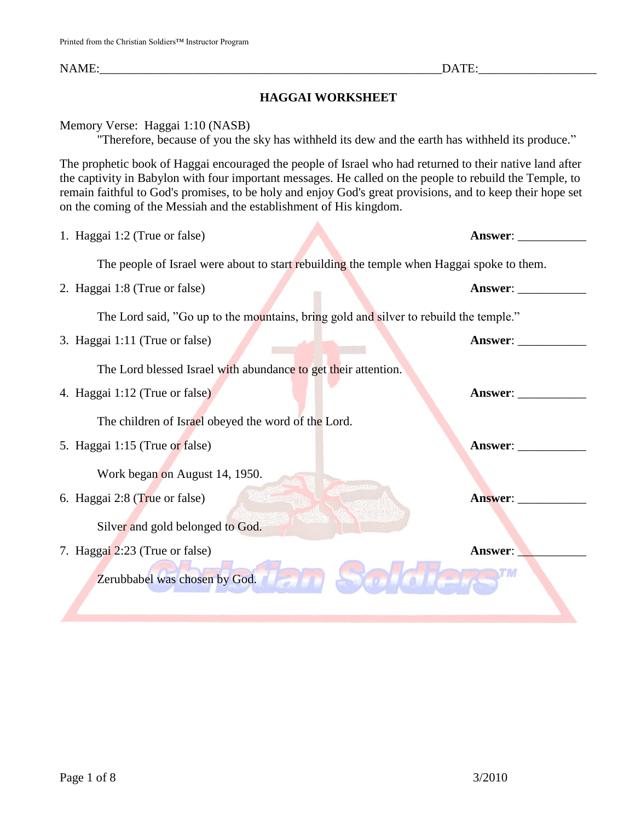NAME: THE SAME SERVICE SERVICE SERVICE SERVICE SERVICE SERVICE SERVICE SERVICE SERVICE SERVICE SERVICE SERVICE

## **HAGGAI WORKSHEET**

Memory Verse: Haggai 1:10 (NASB)

"Therefore, because of you the sky has withheld its dew and the earth has withheld its produce."

The prophetic book of Haggai encouraged the people of Israel who had returned to their native land after the captivity in Babylon with four important messages. He called on the people to rebuild the Temple, to remain faithful to God's promises, to be holy and enjoy God's great provisions, and to keep their hope set on the coming of the Messiah and the establishment of His kingdom.

| 1. Haggai 1:2 (True or false)                                                             | <b>Answer:</b> |
|-------------------------------------------------------------------------------------------|----------------|
| The people of Israel were about to start rebuilding the temple when Haggai spoke to them. |                |
| 2. Haggai 1:8 (True or false)                                                             | <b>Answer:</b> |
| The Lord said, "Go up to the mountains, bring gold and silver to rebuild the temple."     |                |
| 3. Haggai 1:11 (True or false)                                                            | Answer:        |
| The Lord blessed Israel with abundance to get their attention.                            |                |
| 4. Haggai 1:12 (True or false)                                                            | Answer: $\_\_$ |
| The children of Israel obeyed the word of the Lord.                                       |                |
| 5. Haggai 1:15 (True or false)                                                            | Answer:        |
| Work began on August 14, 1950.                                                            |                |
| 6. Haggai 2:8 (True or false)                                                             | Answer:        |
| Silver and gold belonged to God.                                                          |                |
| 7. Haggai 2:23 (True or false)                                                            | Answer:        |
| Zerubbabel was chosen by God.                                                             |                |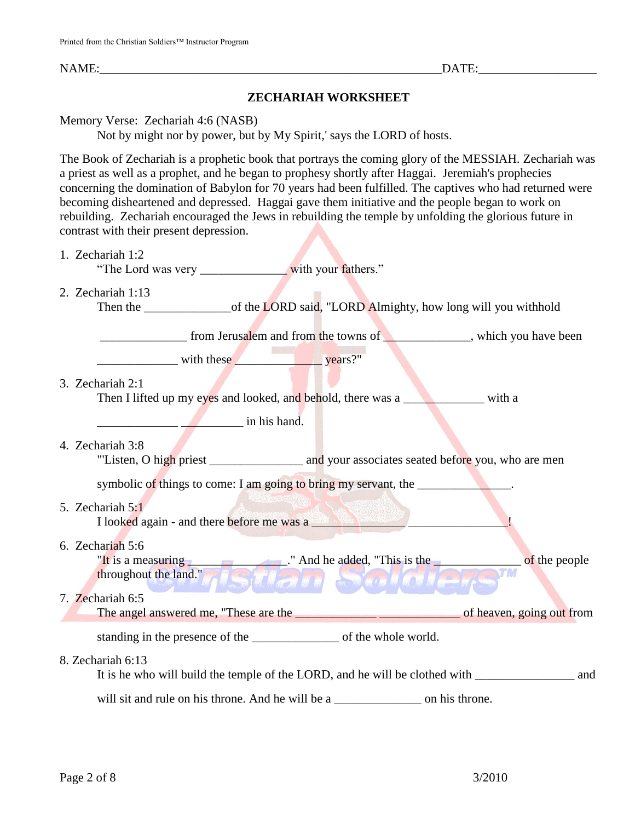NAME: THE CONSTRUCTED STATE OF THE CONSTRUCTION OF THE CONSTRUCTION OF THE CONSTRUCTION OF THE CONSTRUCTION OF THE CONSTRUCTION OF THE CONSTRUCTION OF THE CONSTRUCTION OF THE CONSTRUCTION OF THE CONSTRUCTION OF THE CONSTRU

## **ZECHARIAH WORKSHEET**

Memory Verse: Zechariah 4:6 (NASB)

Not by might nor by power, but by My Spirit,' says the LORD of hosts.

The Book of Zechariah is a prophetic book that portrays the coming glory of the MESSIAH. Zechariah was a priest as well as a prophet, and he began to prophesy shortly after Haggai. Jeremiah's prophecies concerning the domination of Babylon for 70 years had been fulfilled. The captives who had returned were becoming disheartened and depressed. Haggai gave them initiative and the people began to work on rebuilding. Zechariah encouraged the Jews in rebuilding the temple by unfolding the glorious future in contrast with their present depression.

1. Zechariah 1:2

"The Lord was very with your fathers."

2. Zechariah 1:13

Then the \_\_\_\_\_\_\_\_\_\_\_\_\_\_\_\_\_\_\_\_of the LORD said, "LORD Almighty, how long will you withhold

\_\_\_\_\_\_\_\_\_\_\_\_\_\_ from Jerusalem and from the towns of \_\_\_\_\_\_\_\_\_\_\_\_\_\_, which you have been

with these **years?"** 

#### 3. Zechariah 2:1

Then I lifted up my eyes and looked, and behold, there was a \_\_\_\_\_\_\_\_\_\_\_\_\_\_\_\_ with a

\_\_\_\_\_\_\_\_\_\_\_\_\_ \_\_\_\_\_\_\_\_\_\_ in his hand.

4. Zechariah 3:8

"Listen, O high priest \_\_\_\_\_\_\_\_\_\_\_\_\_\_\_\_ and your associates seated before you, who are men

symbolic of things to come: I am going to bring my servant, the \_\_\_\_\_\_\_\_\_\_\_\_\_\_\_\_

#### 5. Zechariah 5:1

I looked again - and there before me was a **was a** and the set of the set of the set of the set of the set of the set of the set of the set of the set of the set of the set of the set of the set of the set of the set of th

6. Zechariah 5:6

"It is a measuring  $\blacksquare$ " And he added, "This is the  $\blacksquare$  of the people throughout the land." Buan Soloie. throughout the land."

# 7. Zechariah 6:5

The angel answered me, "These are the \_\_\_\_\_\_\_\_\_\_\_\_\_ \_\_\_\_\_\_\_\_\_\_\_\_\_ of heaven, going out from

standing in the presence of the \_\_\_\_\_\_\_\_\_\_\_\_\_\_ of the whole world.

#### 8. Zechariah 6:13

It is he who will build the temple of the LORD, and he will be clothed with \_\_\_\_\_\_\_\_\_\_\_\_\_\_\_\_\_\_\_\_\_ and

will sit and rule on his throne. And he will be a \_\_\_\_\_\_\_\_\_\_\_\_\_\_\_\_\_ on his throne.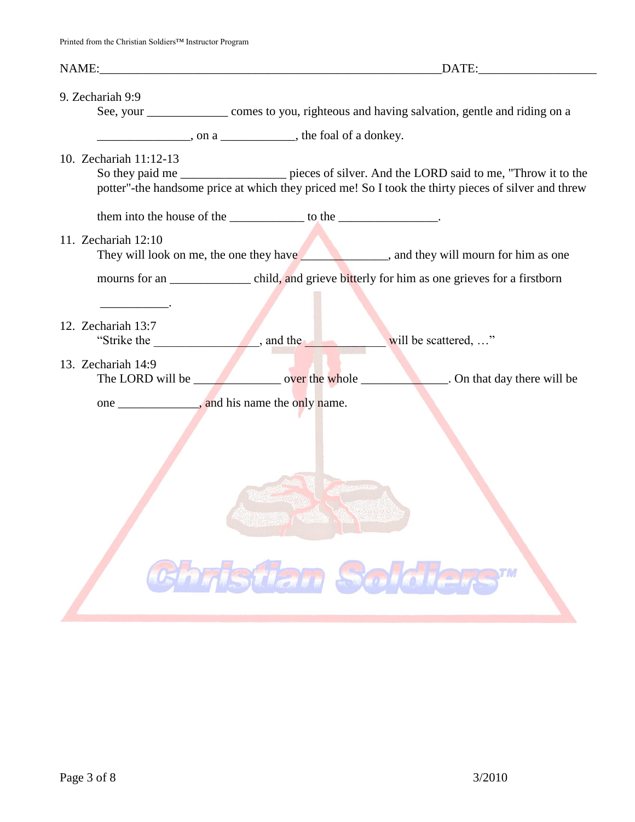| NAME: NAME:                                                         |                                                                                                     |  |  |
|---------------------------------------------------------------------|-----------------------------------------------------------------------------------------------------|--|--|
|                                                                     |                                                                                                     |  |  |
| 9. Zechariah 9:9                                                    | See, your ________________ comes to you, righteous and having salvation, gentle and riding on a     |  |  |
| $\frac{1}{2}$ , on a $\frac{1}{2}$ , the foal of a donkey.          |                                                                                                     |  |  |
|                                                                     |                                                                                                     |  |  |
| 10. Zechariah 11:12-13                                              | So they paid me _________________ pieces of silver. And the LORD said to me, "Throw it to the       |  |  |
|                                                                     | potter"-the handsome price at which they priced me! So I took the thirty pieces of silver and threw |  |  |
| them into the house of the _______________ to the ________________. |                                                                                                     |  |  |
| 11. Zechariah 12:10                                                 |                                                                                                     |  |  |
|                                                                     |                                                                                                     |  |  |
|                                                                     |                                                                                                     |  |  |
| the control of the control of the                                   |                                                                                                     |  |  |
| 12. Zechariah 13:7                                                  |                                                                                                     |  |  |
|                                                                     | will be scattered, "                                                                                |  |  |
| 13. Zechariah 14:9                                                  |                                                                                                     |  |  |
|                                                                     |                                                                                                     |  |  |
|                                                                     |                                                                                                     |  |  |
|                                                                     |                                                                                                     |  |  |
|                                                                     |                                                                                                     |  |  |
|                                                                     |                                                                                                     |  |  |
|                                                                     | <b>BELLEVILLE AND ANGELES</b>                                                                       |  |  |
|                                                                     |                                                                                                     |  |  |
|                                                                     |                                                                                                     |  |  |
|                                                                     |                                                                                                     |  |  |
|                                                                     |                                                                                                     |  |  |
|                                                                     | Christian Soldiers"                                                                                 |  |  |
|                                                                     |                                                                                                     |  |  |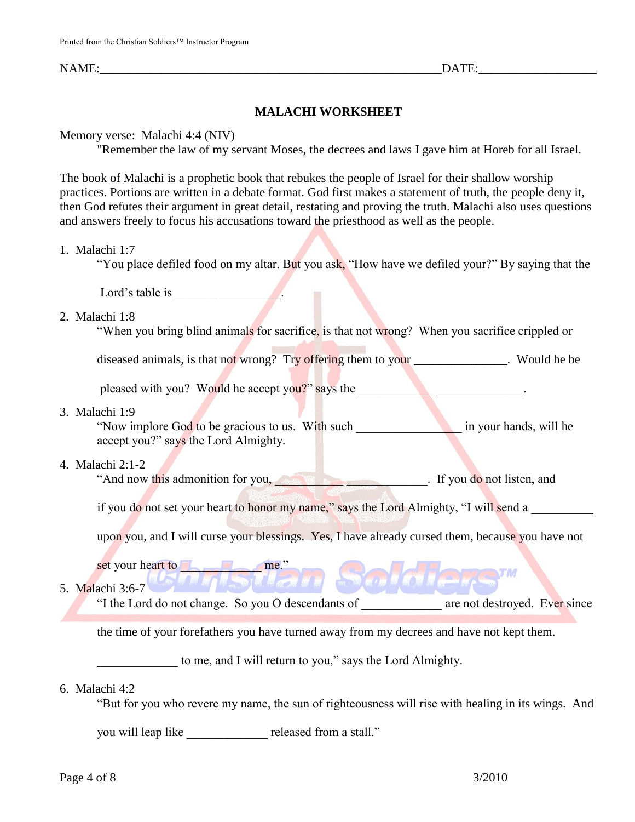NAME: THE CONSTRUCTED STATE OF THE CONSTRUCTION OF THE CONSTRUCTION OF THE CONSTRUCTION OF THE CONSTRUCTION OF THE CONSTRUCTION OF THE CONSTRUCTION OF THE CONSTRUCTION OF THE CONSTRUCTION OF THE CONSTRUCTION OF THE CONSTRU

### **MALACHI WORKSHEET**

#### Memory verse: Malachi 4:4 (NIV)

"Remember the law of my servant Moses, the decrees and laws I gave him at Horeb for all Israel.

The book of Malachi is a prophetic book that rebukes the people of Israel for their shallow worship practices. Portions are written in a debate format. God first makes a statement of truth, the people deny it, then God refutes their argument in great detail, restating and proving the truth. Malachi also uses questions and answers freely to focus his accusations toward the priesthood as well as the people.

#### 1. Malachi 1:7

"You place defiled food on my altar. But you ask, "How have we defiled your?" By saying that the

Lord's table is

#### 2. Malachi 1:8

"When you bring blind animals for sacrifice, is that not wrong? When you sacrifice crippled or

diseased animals, is that not wrong? Try offering them to your Number 2014. Would he be

pleased with you? Would he accept you?" says the \_\_\_\_\_\_\_\_\_\_\_\_\_\_\_\_\_\_\_\_\_\_\_\_.

#### 3. Malachi 1:9

"Now implore God to be gracious to us. With such \_\_\_\_\_\_\_\_\_\_\_\_\_\_\_\_\_ in your hands, will he accept you?" says the Lord Almighty.

#### 4. Malachi 2:1-2

"And now this admonition for you, The state of the state of the state of the state of the state of the state of the state of the state of the state of the state of the state of the state of the state of the state of the st

if you do not set your heart to honor my name," says the Lord Almighty, "I will send a

upon you, and I will curse your blessings. Yes, I have already cursed them, because you have not

set your heart to **and the set of the set of the set of the set of the set of the set of the set of the set of the set of the set of the set of the set of the set of the set of the set of the set of the set of the set of t** 

#### 5. Malachi 3:6-7

"I the Lord do not change. So you O descendants of are not destroyed. Ever since

後漢

the time of your forefathers you have turned away from my decrees and have not kept them.

to me, and I will return to you," says the Lord Almighty.

#### 6. Malachi 4:2

"But for you who revere my name, the sun of righteousness will rise with healing in its wings. And

you will leap like \_\_\_\_\_\_\_\_\_\_\_\_\_ released from a stall."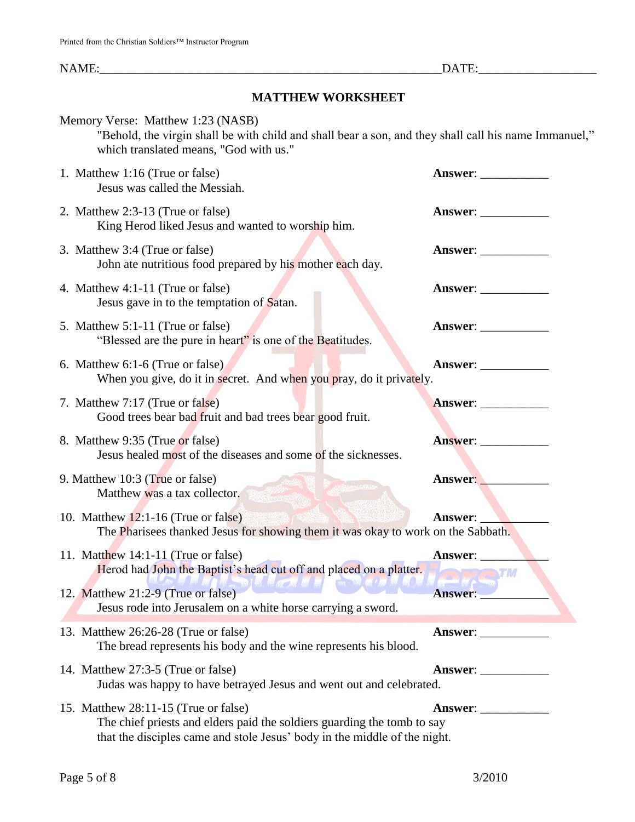NAME:\_\_\_\_\_\_\_\_\_\_\_\_\_\_\_\_\_\_\_\_\_\_\_\_\_\_\_\_\_\_\_\_\_\_\_\_\_\_\_\_\_\_\_\_\_\_\_\_\_\_\_\_\_\_\_DATE:\_\_\_\_\_\_\_\_\_\_\_\_\_\_\_\_\_\_\_

## **MATTHEW WORKSHEET**

| Memory Verse: Matthew 1:23 (NASB)<br>"Behold, the virgin shall be with child and shall bear a son, and they shall call his name Immanuel,"<br>which translated means, "God with us."         |                             |
|----------------------------------------------------------------------------------------------------------------------------------------------------------------------------------------------|-----------------------------|
| 1. Matthew 1:16 (True or false)<br>Jesus was called the Messiah.                                                                                                                             | Answer:                     |
| 2. Matthew 2:3-13 (True or false)<br>King Herod liked Jesus and wanted to worship him.                                                                                                       | <b>Answer:</b> ____________ |
| 3. Matthew 3:4 (True or false)<br>John ate nutritious food prepared by his mother each day.                                                                                                  |                             |
| 4. Matthew 4:1-11 (True or false)<br>Jesus gave in to the temptation of Satan.                                                                                                               | Answer: _____________       |
| 5. Matthew 5:1-11 (True or false)<br>"Blessed are the pure in heart" is one of the Beatitudes.                                                                                               | Answer:                     |
| 6. Matthew 6:1-6 (True or false)<br>When you give, do it in secret. And when you pray, do it privately.                                                                                      |                             |
| 7. Matthew 7:17 (True or false)<br>Good trees bear bad fruit and bad trees bear good fruit.                                                                                                  | Answer:                     |
| 8. Matthew 9:35 (True or false)<br>Jesus healed most of the diseases and some of the sicknesses.                                                                                             | Answer:                     |
| 9. Matthew 10:3 (True or false)<br><b>WARDER MARKET</b><br>Matthew was a tax collector.                                                                                                      | Answer:                     |
| 10. Matthew $12:1-16$ (True or false)<br>The Pharisees thanked Jesus for showing them it was okay to work on the Sabbath.                                                                    | Answer:                     |
| 11. Matthew $14:1-11$ (True or false)<br>Herod had John the Baptist's head cut off and placed on a platter.                                                                                  | Answer:<br><b>TIME TIME</b> |
| 12. Matthew 21:2-9 (True or false)<br>Jesus rode into Jerusalem on a white horse carrying a sword.                                                                                           | <b>Answer:</b>              |
| 13. Matthew 26:26-28 (True or false)<br>The bread represents his body and the wine represents his blood.                                                                                     | Answer:                     |
| 14. Matthew 27:3-5 (True or false)<br>Judas was happy to have betrayed Jesus and went out and celebrated.                                                                                    |                             |
| 15. Matthew 28:11-15 (True or false)<br>The chief priests and elders paid the soldiers guarding the tomb to say<br>that the disciples came and stole Jesus' body in the middle of the night. |                             |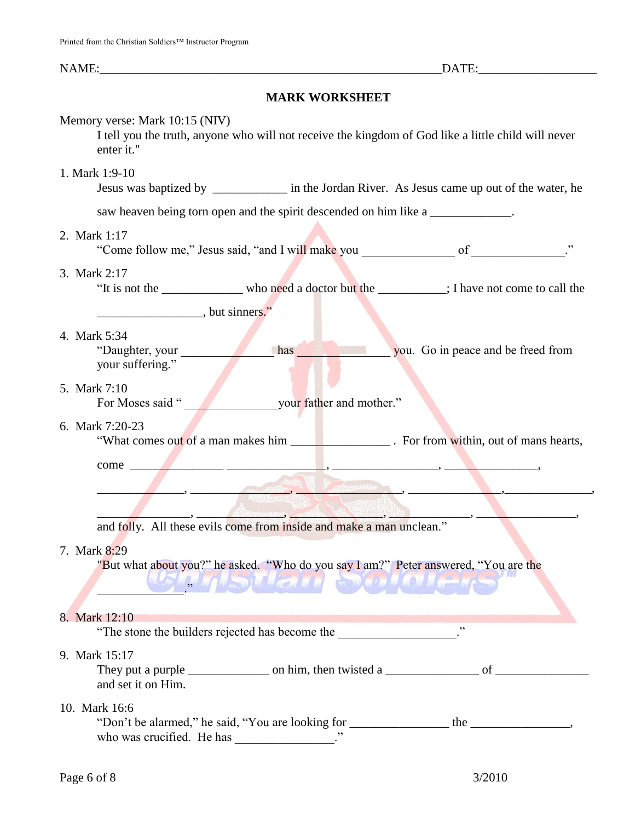NAME:\_\_\_\_\_\_\_\_\_\_\_\_\_\_\_\_\_\_\_\_\_\_\_\_\_\_\_\_\_\_\_\_\_\_\_\_\_\_\_\_\_\_\_\_\_\_\_\_\_\_\_\_\_\_\_DATE:\_\_\_\_\_\_\_\_\_\_\_\_\_\_\_\_\_\_\_

# **MARK WORKSHEET**

| Memory verse: Mark 10:15 (NIV)<br>I tell you the truth, anyone who will not receive the kingdom of God like a little child will never<br>enter it."                                                                                  |  |  |  |  |  |  |
|--------------------------------------------------------------------------------------------------------------------------------------------------------------------------------------------------------------------------------------|--|--|--|--|--|--|
| 1. Mark 1:9-10                                                                                                                                                                                                                       |  |  |  |  |  |  |
| saw heaven being torn open and the spirit descended on him like a _____________.                                                                                                                                                     |  |  |  |  |  |  |
| 2. Mark 1:17                                                                                                                                                                                                                         |  |  |  |  |  |  |
| 3. Mark 2:17<br>"It is not the ____________ who need a doctor but the ________; I have not come to call the                                                                                                                          |  |  |  |  |  |  |
| $\frac{1}{2}$ , but sinners."                                                                                                                                                                                                        |  |  |  |  |  |  |
| 4. Mark 5:34<br><b>Example 2018 has</b> you. Go in peace and be freed from<br>"Daughter, your<br>your suffering."                                                                                                                    |  |  |  |  |  |  |
| 5. Mark 7:10<br>For Moses said "<br>your father and mother."                                                                                                                                                                         |  |  |  |  |  |  |
| 6. Mark 7:20-23<br>"What comes out of a man makes him _______________________. For from within, out of mans hearts,                                                                                                                  |  |  |  |  |  |  |
|                                                                                                                                                                                                                                      |  |  |  |  |  |  |
| <b>The Committee of the Committee of the Committee of the Committee of the Committee of the Committee of the Committee of the Committee of the Committee of the Committee of the Committee of the Committee of the Committee of </b> |  |  |  |  |  |  |
|                                                                                                                                                                                                                                      |  |  |  |  |  |  |
| and folly. All these evils come from inside and make a man unclean."                                                                                                                                                                 |  |  |  |  |  |  |
| 7. Mark 8:29<br>"But what about you?" he asked. "Who do you say I am?" Peter answered, "You are the<br><b>TY ASTER</b>                                                                                                               |  |  |  |  |  |  |
| 8. Mark 12:10                                                                                                                                                                                                                        |  |  |  |  |  |  |
| ,,<br>"The stone the builders rejected has become the __________________.                                                                                                                                                            |  |  |  |  |  |  |
| 9. Mark 15:17<br>and set it on Him.                                                                                                                                                                                                  |  |  |  |  |  |  |
| 10. Mark 16:6<br>who was crucified. He has _____________.                                                                                                                                                                            |  |  |  |  |  |  |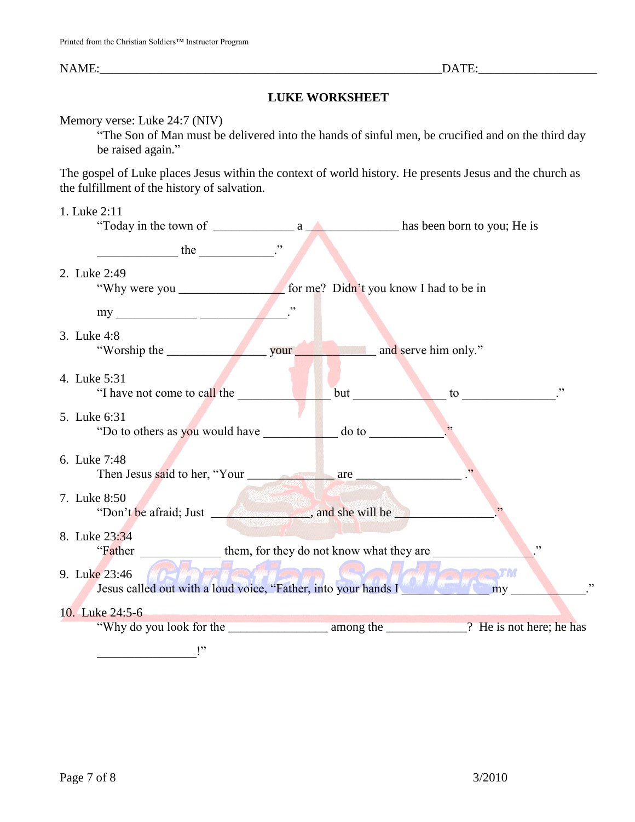### NAME:\_\_\_\_\_\_\_\_\_\_\_\_\_\_\_\_\_\_\_\_\_\_\_\_\_\_\_\_\_\_\_\_\_\_\_\_\_\_\_\_\_\_\_\_\_\_\_\_\_\_\_\_\_\_\_DATE:\_\_\_\_\_\_\_\_\_\_\_\_\_\_\_\_\_\_\_

### **LUKE WORKSHEET**

#### Memory verse: Luke 24:7 (NIV)

"The Son of Man must be delivered into the hands of sinful men, be crucified and on the third day be raised again."

The gospel of Luke places Jesus within the context of world history. He presents Jesus and the church as the fulfillment of the history of salvation.

#### 1. Luke 2:11

| $\frac{1}{2}$ the $\frac{1}{2}$ in the $\frac{1}{2}$ in the $\frac{1}{2}$ in the $\frac{1}{2}$ in the $\frac{1}{2}$ in the $\frac{1}{2}$ in the $\frac{1}{2}$ in the $\frac{1}{2}$ in the $\frac{1}{2}$ in the $\frac{1}{2}$ in the $\frac{1}{2}$ in the $\frac{1}{2}$ in the $\frac$ |     |     |
|---------------------------------------------------------------------------------------------------------------------------------------------------------------------------------------------------------------------------------------------------------------------------------------|-----|-----|
| 2. Luke 2:49                                                                                                                                                                                                                                                                          |     |     |
|                                                                                                                                                                                                                                                                                       |     |     |
|                                                                                                                                                                                                                                                                                       |     |     |
| 3. Luke 4:8                                                                                                                                                                                                                                                                           |     |     |
| 4. Luke 5:31<br>"I have not come to call the                                                                                                                                                                                                                                          | but | , 2 |
| 5. Luke 6:31                                                                                                                                                                                                                                                                          |     |     |
| "Do to others as you would have do to<br>6. Luke 7:48                                                                                                                                                                                                                                 |     |     |
|                                                                                                                                                                                                                                                                                       |     |     |
| 7. Luke 8:50<br>"Don't be afraid; Just _____________________, and she will be                                                                                                                                                                                                         |     |     |
| 8. Luke 23:34                                                                                                                                                                                                                                                                         |     | , 2 |
| "Father them, for they do not know what they are                                                                                                                                                                                                                                      |     |     |
| 9. Luke 23:46<br>Jesus called out with a loud voice, "Father, into your hands I                                                                                                                                                                                                       |     | my  |
| 10. Luke 24:5-6                                                                                                                                                                                                                                                                       |     |     |
|                                                                                                                                                                                                                                                                                       |     |     |
| $\mathsf{I}^{\mathsf{v}}$                                                                                                                                                                                                                                                             |     |     |